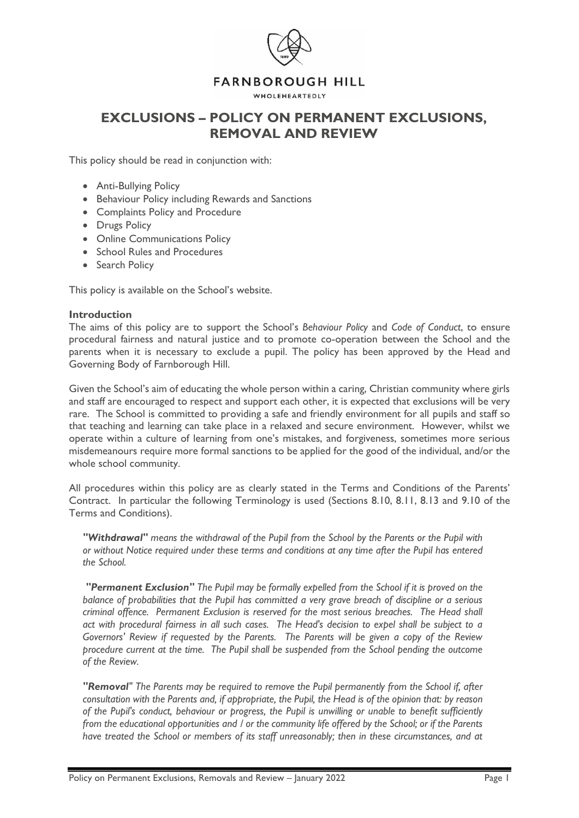

## **FARNBOROUGH HILL**

WHOLEHEARTEDLY

# **EXCLUSIONS – POLICY ON PERMANENT EXCLUSIONS, REMOVAL AND REVIEW**

This policy should be read in conjunction with:

- Anti-Bullying Policy
- Behaviour Policy including Rewards and Sanctions
- Complaints Policy and Procedure
- Drugs Policy
- Online Communications Policy
- School Rules and Procedures
- Search Policy

This policy is available on the School's website.

#### **Introduction**

The aims of this policy are to support the School's *Behaviour Policy* and *Code of Conduct*, to ensure procedural fairness and natural justice and to promote co-operation between the School and the parents when it is necessary to exclude a pupil. The policy has been approved by the Head and Governing Body of Farnborough Hill.

Given the School's aim of educating the whole person within a caring, Christian community where girls and staff are encouraged to respect and support each other, it is expected that exclusions will be very rare. The School is committed to providing a safe and friendly environment for all pupils and staff so that teaching and learning can take place in a relaxed and secure environment. However, whilst we operate within a culture of learning from one's mistakes, and forgiveness, sometimes more serious misdemeanours require more formal sanctions to be applied for the good of the individual, and/or the whole school community.

All procedures within this policy are as clearly stated in the Terms and Conditions of the Parents' Contract. In particular the following Terminology is used (Sections 8.10, 8.11, 8.13 and 9.10 of the Terms and Conditions).

*"Withdrawal" means the withdrawal of the Pupil from the School by the Parents or the Pupil with or without Notice required under these terms and conditions at any time after the Pupil has entered the School.*

*"Permanent Exclusion" The Pupil may be formally expelled from the School if it is proved on the balance of probabilities that the Pupil has committed a very grave breach of discipline or a serious criminal offence. Permanent Exclusion is reserved for the most serious breaches. The Head shall act with procedural fairness in all such cases. The Head's decision to expel shall be subject to a Governors' Review if requested by the Parents. The Parents will be given a copy of the Review procedure current at the time. The Pupil shall be suspended from the School pending the outcome of the Review.* 

*"Removal" The Parents may be required to remove the Pupil permanently from the School if, after consultation with the Parents and, if appropriate, the Pupil, the Head is of the opinion that: by reason of the Pupil's conduct, behaviour or progress, the Pupil is unwilling or unable to benefit sufficiently from the educational opportunities and / or the community life offered by the School; or if the Parents have treated the School or members of its staff unreasonably; then in these circumstances, and at*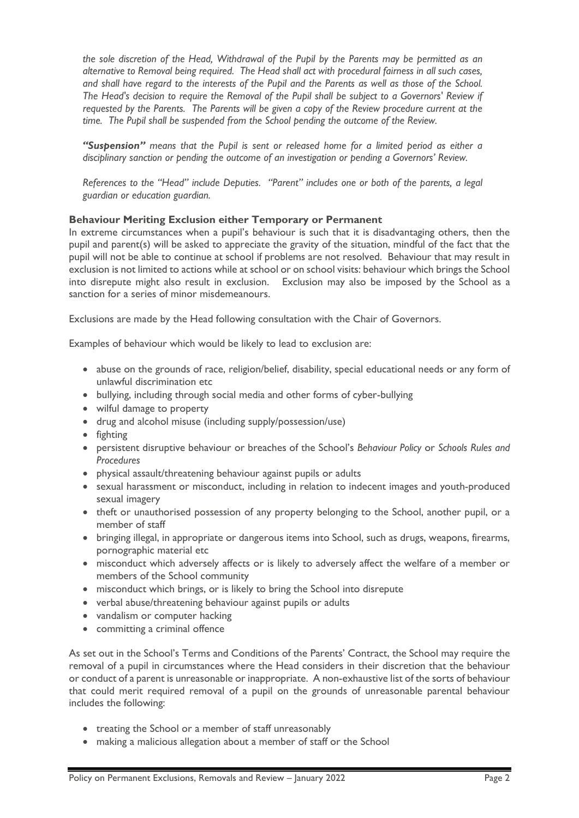*the sole discretion of the Head, Withdrawal of the Pupil by the Parents may be permitted as an alternative to Removal being required. The Head shall act with procedural fairness in all such cases, and shall have regard to the interests of the Pupil and the Parents as well as those of the School. The Head's decision to require the Removal of the Pupil shall be subject to a Governors' Review if requested by the Parents. The Parents will be given a copy of the Review procedure current at the time. The Pupil shall be suspended from the School pending the outcome of the Review.*

*"Suspension" means that the Pupil is sent or released home for a limited period as either a disciplinary sanction or pending the outcome of an investigation or pending a Governors' Review.*

*References to the "Head" include Deputies. "Parent" includes one or both of the parents, a legal guardian or education guardian.*

## **Behaviour Meriting Exclusion either Temporary or Permanent**

In extreme circumstances when a pupil's behaviour is such that it is disadvantaging others, then the pupil and parent(s) will be asked to appreciate the gravity of the situation, mindful of the fact that the pupil will not be able to continue at school if problems are not resolved. Behaviour that may result in exclusion is not limited to actions while at school or on school visits: behaviour which brings the School into disrepute might also result in exclusion. Exclusion may also be imposed by the School as a sanction for a series of minor misdemeanours.

Exclusions are made by the Head following consultation with the Chair of Governors.

Examples of behaviour which would be likely to lead to exclusion are:

- abuse on the grounds of race, religion/belief, disability, special educational needs or any form of unlawful discrimination etc
- bullying, including through social media and other forms of cyber-bullying
- wilful damage to property
- drug and alcohol misuse (including supply/possession/use)
- fighting
- persistent disruptive behaviour or breaches of the School's *Behaviour Policy* or *Schools Rules and Procedures*
- physical assault/threatening behaviour against pupils or adults
- sexual harassment or misconduct, including in relation to indecent images and youth-produced sexual imagery
- theft or unauthorised possession of any property belonging to the School, another pupil, or a member of staff
- bringing illegal, in appropriate or dangerous items into School, such as drugs, weapons, firearms, pornographic material etc
- misconduct which adversely affects or is likely to adversely affect the welfare of a member or members of the School community
- misconduct which brings, or is likely to bring the School into disrepute
- verbal abuse/threatening behaviour against pupils or adults
- vandalism or computer hacking
- committing a criminal offence

As set out in the School's Terms and Conditions of the Parents' Contract, the School may require the removal of a pupil in circumstances where the Head considers in their discretion that the behaviour or conduct of a parent is unreasonable or inappropriate. A non-exhaustive list of the sorts of behaviour that could merit required removal of a pupil on the grounds of unreasonable parental behaviour includes the following:

- treating the School or a member of staff unreasonably
- making a malicious allegation about a member of staff or the School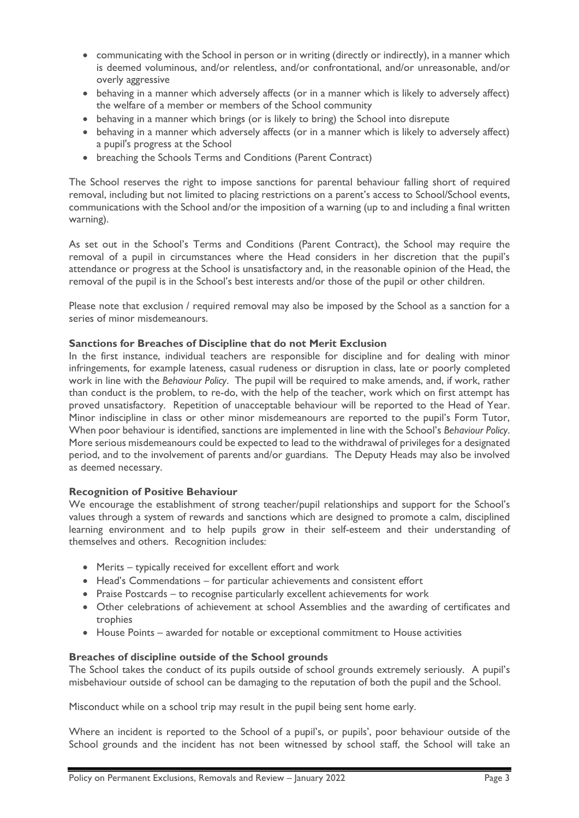- communicating with the School in person or in writing (directly or indirectly), in a manner which is deemed voluminous, and/or relentless, and/or confrontational, and/or unreasonable, and/or overly aggressive
- behaving in a manner which adversely affects (or in a manner which is likely to adversely affect) the welfare of a member or members of the School community
- behaving in a manner which brings (or is likely to bring) the School into disrepute
- behaving in a manner which adversely affects (or in a manner which is likely to adversely affect) a pupil's progress at the School
- breaching the Schools Terms and Conditions (Parent Contract)

The School reserves the right to impose sanctions for parental behaviour falling short of required removal, including but not limited to placing restrictions on a parent's access to School/School events, communications with the School and/or the imposition of a warning (up to and including a final written warning).

As set out in the School's Terms and Conditions (Parent Contract), the School may require the removal of a pupil in circumstances where the Head considers in her discretion that the pupil's attendance or progress at the School is unsatisfactory and, in the reasonable opinion of the Head, the removal of the pupil is in the School's best interests and/or those of the pupil or other children.

Please note that exclusion / required removal may also be imposed by the School as a sanction for a series of minor misdemeanours.

## **Sanctions for Breaches of Discipline that do not Merit Exclusion**

In the first instance, individual teachers are responsible for discipline and for dealing with minor infringements, for example lateness, casual rudeness or disruption in class, late or poorly completed work in line with the *Behaviour Policy*. The pupil will be required to make amends, and, if work, rather than conduct is the problem, to re-do, with the help of the teacher, work which on first attempt has proved unsatisfactory. Repetition of unacceptable behaviour will be reported to the Head of Year. Minor indiscipline in class or other minor misdemeanours are reported to the pupil's Form Tutor, When poor behaviour is identified, sanctions are implemented in line with the School's *Behaviour Policy*. More serious misdemeanours could be expected to lead to the withdrawal of privileges for a designated period, and to the involvement of parents and/or guardians. The Deputy Heads may also be involved as deemed necessary.

#### **Recognition of Positive Behaviour**

We encourage the establishment of strong teacher/pupil relationships and support for the School's values through a system of rewards and sanctions which are designed to promote a calm, disciplined learning environment and to help pupils grow in their self-esteem and their understanding of themselves and others. Recognition includes:

- Merits typically received for excellent effort and work
- Head's Commendations for particular achievements and consistent effort
- Praise Postcards to recognise particularly excellent achievements for work
- Other celebrations of achievement at school Assemblies and the awarding of certificates and trophies
- House Points awarded for notable or exceptional commitment to House activities

#### **Breaches of discipline outside of the School grounds**

The School takes the conduct of its pupils outside of school grounds extremely seriously. A pupil's misbehaviour outside of school can be damaging to the reputation of both the pupil and the School.

Misconduct while on a school trip may result in the pupil being sent home early.

Where an incident is reported to the School of a pupil's, or pupils', poor behaviour outside of the School grounds and the incident has not been witnessed by school staff, the School will take an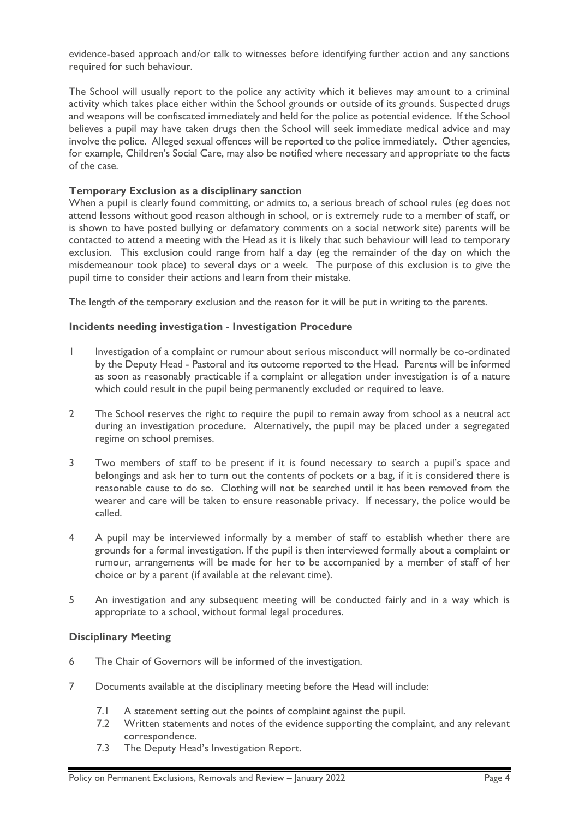evidence-based approach and/or talk to witnesses before identifying further action and any sanctions required for such behaviour.

The School will usually report to the police any activity which it believes may amount to a criminal activity which takes place either within the School grounds or outside of its grounds. Suspected drugs and weapons will be confiscated immediately and held for the police as potential evidence. If the School believes a pupil may have taken drugs then the School will seek immediate medical advice and may involve the police. Alleged sexual offences will be reported to the police immediately. Other agencies, for example, Children's Social Care, may also be notified where necessary and appropriate to the facts of the case.

## **Temporary Exclusion as a disciplinary sanction**

When a pupil is clearly found committing, or admits to, a serious breach of school rules (eg does not attend lessons without good reason although in school, or is extremely rude to a member of staff, or is shown to have posted bullying or defamatory comments on a social network site) parents will be contacted to attend a meeting with the Head as it is likely that such behaviour will lead to temporary exclusion. This exclusion could range from half a day (eg the remainder of the day on which the misdemeanour took place) to several days or a week. The purpose of this exclusion is to give the pupil time to consider their actions and learn from their mistake.

The length of the temporary exclusion and the reason for it will be put in writing to the parents.

## **Incidents needing investigation - Investigation Procedure**

- 1 Investigation of a complaint or rumour about serious misconduct will normally be co-ordinated by the Deputy Head - Pastoral and its outcome reported to the Head. Parents will be informed as soon as reasonably practicable if a complaint or allegation under investigation is of a nature which could result in the pupil being permanently excluded or required to leave.
- 2 The School reserves the right to require the pupil to remain away from school as a neutral act during an investigation procedure. Alternatively, the pupil may be placed under a segregated regime on school premises.
- 3 Two members of staff to be present if it is found necessary to search a pupil's space and belongings and ask her to turn out the contents of pockets or a bag, if it is considered there is reasonable cause to do so. Clothing will not be searched until it has been removed from the wearer and care will be taken to ensure reasonable privacy. If necessary, the police would be called.
- 4 A pupil may be interviewed informally by a member of staff to establish whether there are grounds for a formal investigation. If the pupil is then interviewed formally about a complaint or rumour, arrangements will be made for her to be accompanied by a member of staff of her choice or by a parent (if available at the relevant time).
- 5 An investigation and any subsequent meeting will be conducted fairly and in a way which is appropriate to a school, without formal legal procedures.

## **Disciplinary Meeting**

- 6 The Chair of Governors will be informed of the investigation.
- 7 Documents available at the disciplinary meeting before the Head will include:
	- 7.1 A statement setting out the points of complaint against the pupil.
	- 7.2 Written statements and notes of the evidence supporting the complaint, and any relevant correspondence.
	- 7.3 The Deputy Head's Investigation Report.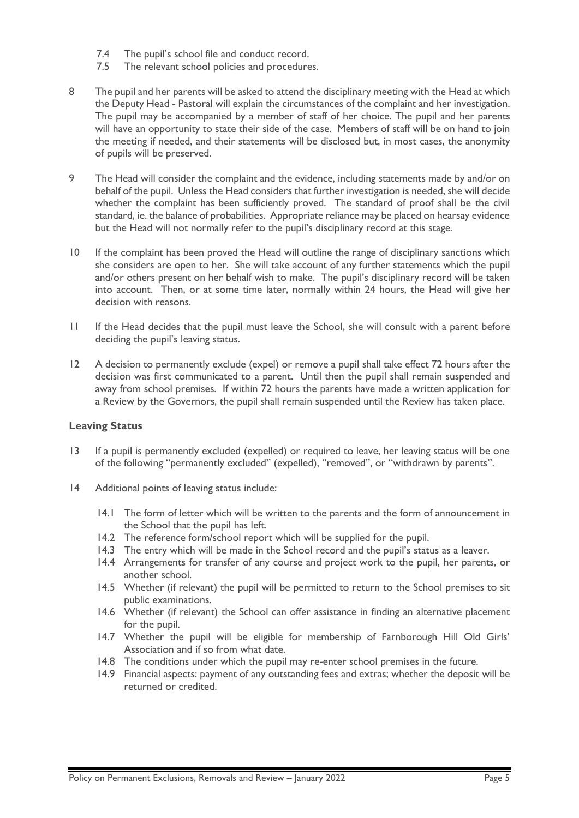- 7.4 The pupil's school file and conduct record.
- 7.5 The relevant school policies and procedures.
- 8 The pupil and her parents will be asked to attend the disciplinary meeting with the Head at which the Deputy Head - Pastoral will explain the circumstances of the complaint and her investigation. The pupil may be accompanied by a member of staff of her choice. The pupil and her parents will have an opportunity to state their side of the case. Members of staff will be on hand to join the meeting if needed, and their statements will be disclosed but, in most cases, the anonymity of pupils will be preserved.
- 9 The Head will consider the complaint and the evidence, including statements made by and/or on behalf of the pupil. Unless the Head considers that further investigation is needed, she will decide whether the complaint has been sufficiently proved. The standard of proof shall be the civil standard, ie. the balance of probabilities. Appropriate reliance may be placed on hearsay evidence but the Head will not normally refer to the pupil's disciplinary record at this stage.
- 10 If the complaint has been proved the Head will outline the range of disciplinary sanctions which she considers are open to her. She will take account of any further statements which the pupil and/or others present on her behalf wish to make. The pupil's disciplinary record will be taken into account. Then, or at some time later, normally within 24 hours, the Head will give her decision with reasons.
- 11 If the Head decides that the pupil must leave the School, she will consult with a parent before deciding the pupil's leaving status.
- 12 A decision to permanently exclude (expel) or remove a pupil shall take effect 72 hours after the decision was first communicated to a parent. Until then the pupil shall remain suspended and away from school premises. If within 72 hours the parents have made a written application for a Review by the Governors, the pupil shall remain suspended until the Review has taken place.

### **Leaving Status**

- 13 If a pupil is permanently excluded (expelled) or required to leave, her leaving status will be one of the following "permanently excluded" (expelled), "removed", or "withdrawn by parents".
- 14 Additional points of leaving status include:
	- 14.1 The form of letter which will be written to the parents and the form of announcement in the School that the pupil has left.
	- 14.2 The reference form/school report which will be supplied for the pupil.
	- 14.3 The entry which will be made in the School record and the pupil's status as a leaver.
	- 14.4 Arrangements for transfer of any course and project work to the pupil, her parents, or another school.
	- 14.5 Whether (if relevant) the pupil will be permitted to return to the School premises to sit public examinations.
	- 14.6 Whether (if relevant) the School can offer assistance in finding an alternative placement for the pupil.
	- 14.7 Whether the pupil will be eligible for membership of Farnborough Hill Old Girls' Association and if so from what date.
	- 14.8 The conditions under which the pupil may re-enter school premises in the future.
	- 14.9 Financial aspects: payment of any outstanding fees and extras; whether the deposit will be returned or credited.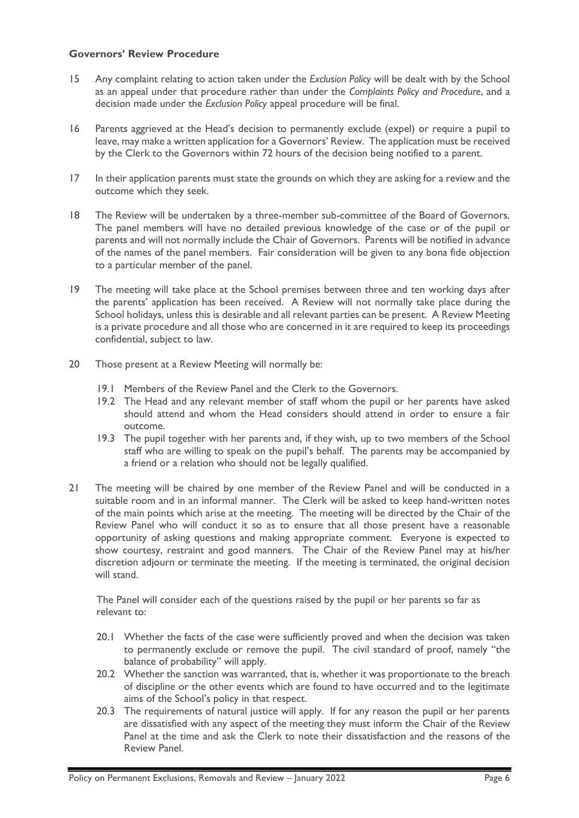## **Governors' Review Procedure**

- 15 Any complaint relating to action taken under the *Exclusion Policy* will be dealt with by the School as an appeal under that procedure rather than under the *Complaints Policy and Procedure*, and a decision made under the *Exclusion Policy* appeal procedure will be final.
- 16 Parents aggrieved at the Head's decision to permanently exclude (expel) or require a pupil to leave, may make a written application for a Governors' Review. The application must be received by the Clerk to the Governors within 72 hours of the decision being notified to a parent.
- 17 In their application parents must state the grounds on which they are asking for a review and the outcome which they seek.
- 18 The Review will be undertaken by a three-member sub-committee of the Board of Governors. The panel members will have no detailed previous knowledge of the case or of the pupil or parents and will not normally include the Chair of Governors. Parents will be notified in advance of the names of the panel members. Fair consideration will be given to any bona fide objection to a particular member of the panel.
- 19 The meeting will take place at the School premises between three and ten working days after the parents' application has been received. A Review will not normally take place during the School holidays, unless this is desirable and all relevant parties can be present. A Review Meeting is a private procedure and all those who are concerned in it are required to keep its proceedings confidential, subject to law.
- 20 Those present at a Review Meeting will normally be:
	- 19.1 Members of the Review Panel and the Clerk to the Governors.
	- 19.2 The Head and any relevant member of staff whom the pupil or her parents have asked should attend and whom the Head considers should attend in order to ensure a fair outcome.
	- 19.3 The pupil together with her parents and, if they wish, up to two members of the School staff who are willing to speak on the pupil's behalf. The parents may be accompanied by a friend or a relation who should not be legally qualified.
- 21 The meeting will be chaired by one member of the Review Panel and will be conducted in a suitable room and in an informal manner. The Clerk will be asked to keep hand-written notes of the main points which arise at the meeting. The meeting will be directed by the Chair of the Review Panel who will conduct it so as to ensure that all those present have a reasonable opportunity of asking questions and making appropriate comment. Everyone is expected to show courtesy, restraint and good manners. The Chair of the Review Panel may at his/her discretion adjourn or terminate the meeting. If the meeting is terminated, the original decision will stand.

The Panel will consider each of the questions raised by the pupil or her parents so far as relevant to:

- 20.1 Whether the facts of the case were sufficiently proved and when the decision was taken to permanently exclude or remove the pupil. The civil standard of proof, namely "the balance of probability" will apply.
- 20.2 Whether the sanction was warranted, that is, whether it was proportionate to the breach of discipline or the other events which are found to have occurred and to the legitimate aims of the School's policy in that respect.
- 20.3 The requirements of natural justice will apply. If for any reason the pupil or her parents are dissatisfied with any aspect of the meeting they must inform the Chair of the Review Panel at the time and ask the Clerk to note their dissatisfaction and the reasons of the Review Panel.